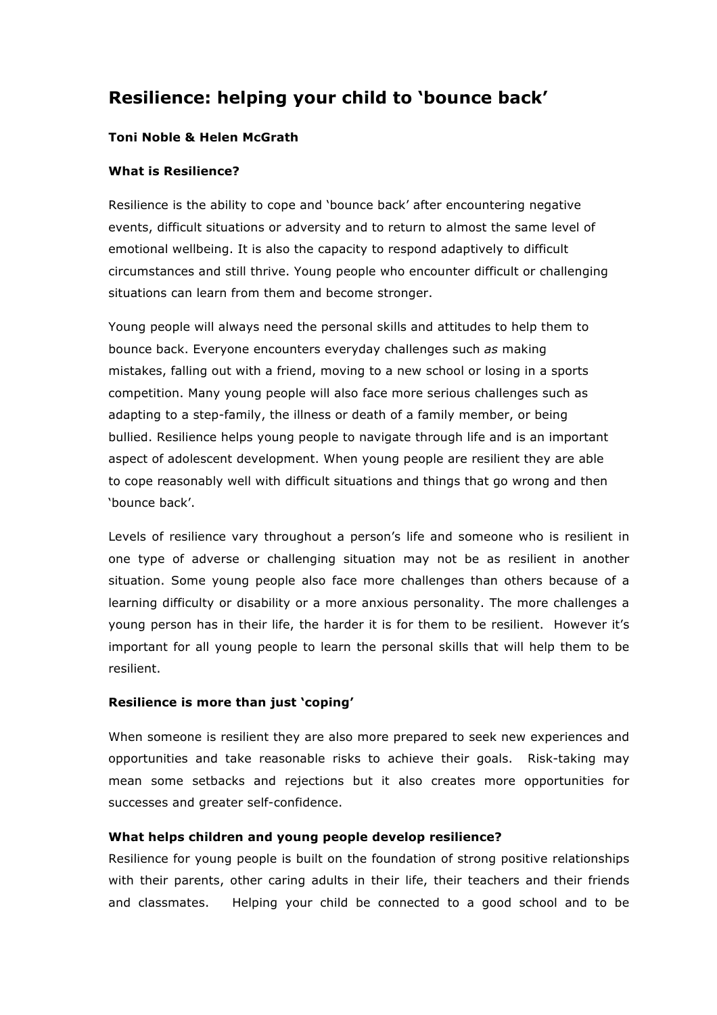# **Resilience: helping your child to 'bounce back'**

# **Toni Noble & Helen McGrath**

### **What is Resilience?**

Resilience is the ability to cope and 'bounce back' after encountering negative events, difficult situations or adversity and to return to almost the same level of emotional wellbeing. It is also the capacity to respond adaptively to difficult circumstances and still thrive. Young people who encounter difficult or challenging situations can learn from them and become stronger.

Young people will always need the personal skills and attitudes to help them to bounce back. Everyone encounters everyday challenges such *as* making mistakes, falling out with a friend, moving to a new school or losing in a sports competition. Many young people will also face more serious challenges such as adapting to a step-family, the illness or death of a family member, or being bullied. Resilience helps young people to navigate through life and is an important aspect of adolescent development. When young people are resilient they are able to cope reasonably well with difficult situations and things that go wrong and then 'bounce back'.

Levels of resilience vary throughout a person's life and someone who is resilient in one type of adverse or challenging situation may not be as resilient in another situation. Some young people also face more challenges than others because of a learning difficulty or disability or a more anxious personality. The more challenges a young person has in their life, the harder it is for them to be resilient. However it's important for all young people to learn the personal skills that will help them to be resilient.

#### **Resilience is more than just 'coping'**

When someone is resilient they are also more prepared to seek new experiences and opportunities and take reasonable risks to achieve their goals. Risk-taking may mean some setbacks and rejections but it also creates more opportunities for successes and greater self-confidence.

#### **What helps children and young people develop resilience?**

Resilience for young people is built on the foundation of strong positive relationships with their parents, other caring adults in their life, their teachers and their friends and classmates. Helping your child be connected to a good school and to be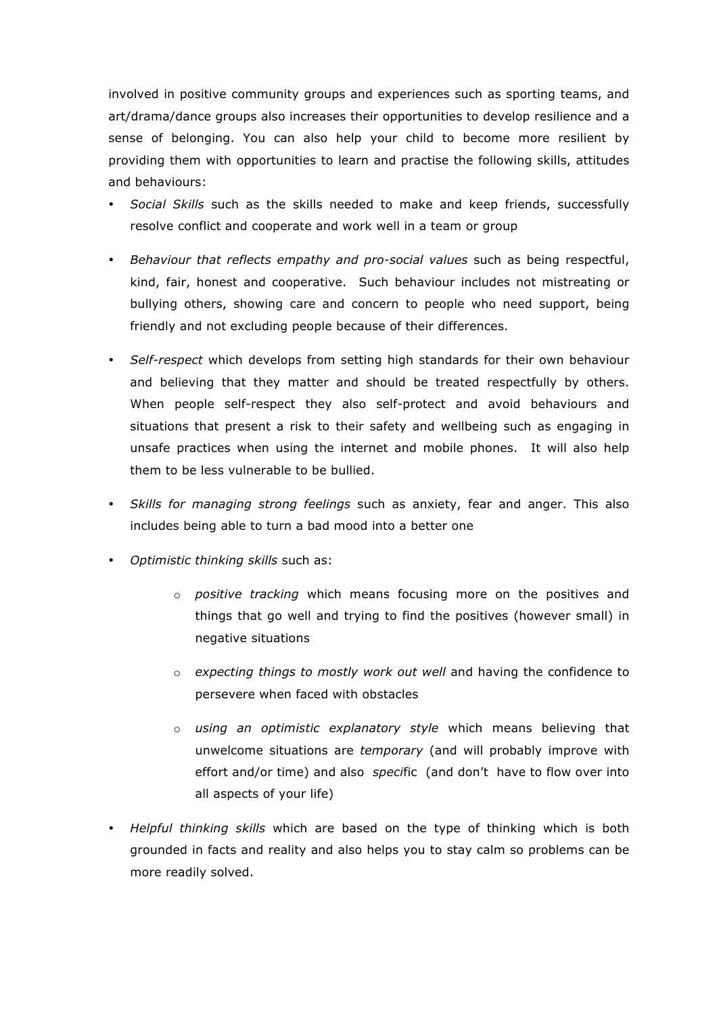involved in positive community groups and experiences such as sporting teams, and art/drama/dance groups also increases their opportunities to develop resilience and a sense of belonging. You can also help your child to become more resilient by providing them with opportunities to learn and practise the following skills, attitudes and behaviours:

- *Social Skills* such as the skills needed to make and keep friends, successfully resolve conflict and cooperate and work well in a team or group
- *Behaviour that reflects empathy and pro-social values* such as being respectful, kind, fair, honest and cooperative. Such behaviour includes not mistreating or bullying others, showing care and concern to people who need support, being friendly and not excluding people because of their differences.
- *Self-respect* which develops from setting high standards for their own behaviour and believing that they matter and should be treated respectfully by others. When people self-respect they also self-protect and avoid behaviours and situations that present a risk to their safety and wellbeing such as engaging in unsafe practices when using the internet and mobile phones. It will also help them to be less vulnerable to be bullied.
- *Skills for managing strong feelings* such as anxiety, fear and anger. This also includes being able to turn a bad mood into a better one
- *Optimistic thinking skills* such as:
	- o *positive tracking* which means focusing more on the positives and things that go well and trying to find the positives (however small) in negative situations
	- o *expecting things to mostly work out well* and having the confidence to persevere when faced with obstacles
	- o *using an optimistic explanatory style* which means believing that unwelcome situations are *temporary* (and will probably improve with effort and/or time) and also *speci*fic (and don't have to flow over into all aspects of your life)
- *Helpful thinking skills* which are based on the type of thinking which is both grounded in facts and reality and also helps you to stay calm so problems can be more readily solved.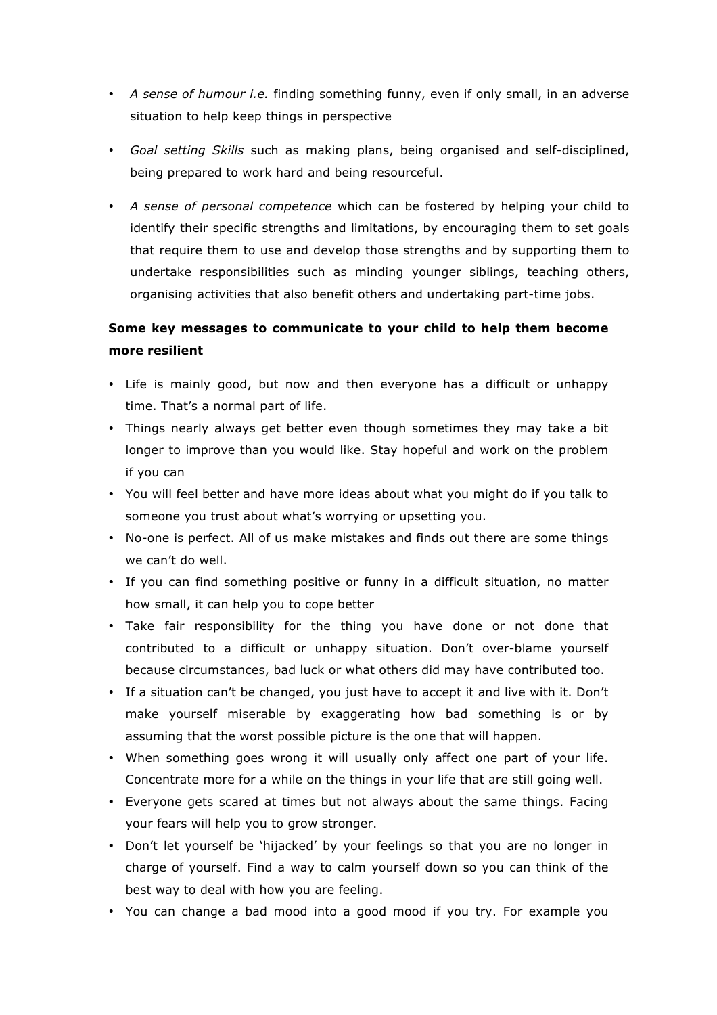- *A sense of humour i.e.* finding something funny, even if only small, in an adverse situation to help keep things in perspective
- *Goal setting Skills* such as making plans, being organised and self-disciplined, being prepared to work hard and being resourceful.
- *A sense of personal competence* which can be fostered by helping your child to identify their specific strengths and limitations, by encouraging them to set goals that require them to use and develop those strengths and by supporting them to undertake responsibilities such as minding younger siblings, teaching others, organising activities that also benefit others and undertaking part-time jobs.

# **Some key messages to communicate to your child to help them become more resilient**

- Life is mainly good, but now and then everyone has a difficult or unhappy time. That's a normal part of life.
- Things nearly always get better even though sometimes they may take a bit longer to improve than you would like. Stay hopeful and work on the problem if you can
- You will feel better and have more ideas about what you might do if you talk to someone you trust about what's worrying or upsetting you.
- No-one is perfect. All of us make mistakes and finds out there are some things we can't do well.
- If you can find something positive or funny in a difficult situation, no matter how small, it can help you to cope better
- Take fair responsibility for the thing you have done or not done that contributed to a difficult or unhappy situation. Don't over-blame yourself because circumstances, bad luck or what others did may have contributed too.
- If a situation can't be changed, you just have to accept it and live with it. Don't make yourself miserable by exaggerating how bad something is or by assuming that the worst possible picture is the one that will happen.
- When something goes wrong it will usually only affect one part of your life. Concentrate more for a while on the things in your life that are still going well.
- Everyone gets scared at times but not always about the same things. Facing your fears will help you to grow stronger.
- Don't let yourself be 'hijacked' by your feelings so that you are no longer in charge of yourself. Find a way to calm yourself down so you can think of the best way to deal with how you are feeling.
- You can change a bad mood into a good mood if you try. For example you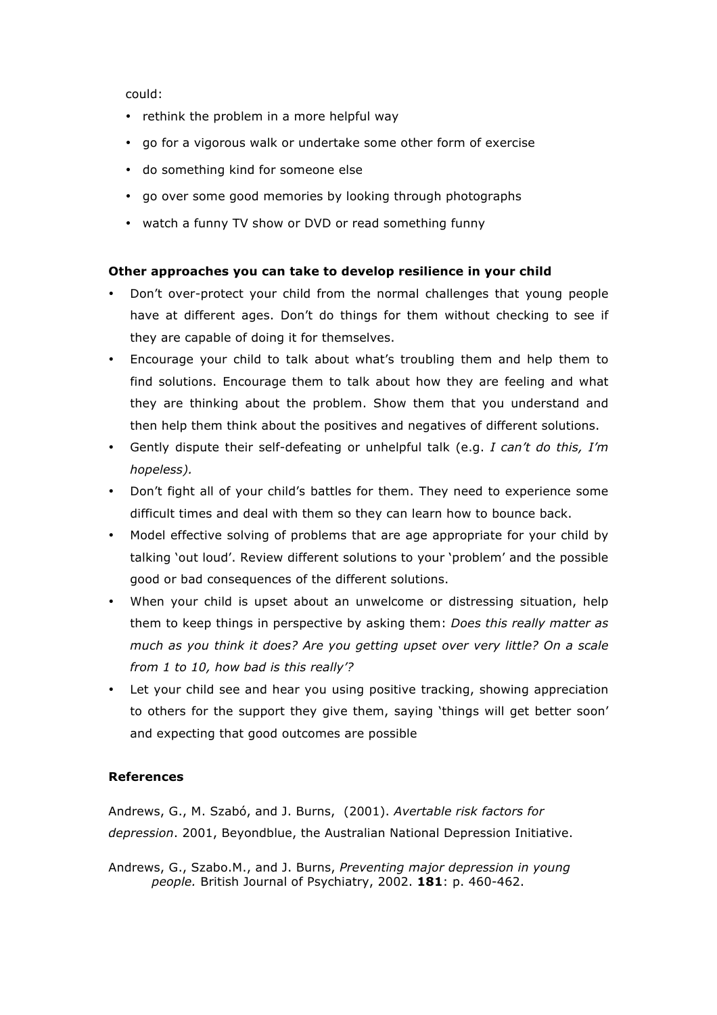could:

- rethink the problem in a more helpful way
- go for a vigorous walk or undertake some other form of exercise
- do something kind for someone else
- go over some good memories by looking through photographs
- watch a funny TV show or DVD or read something funny

# **Other approaches you can take to develop resilience in your child**

- Don't over-protect your child from the normal challenges that young people have at different ages. Don't do things for them without checking to see if they are capable of doing it for themselves.
- Encourage your child to talk about what's troubling them and help them to find solutions. Encourage them to talk about how they are feeling and what they are thinking about the problem. Show them that you understand and then help them think about the positives and negatives of different solutions.
- Gently dispute their self-defeating or unhelpful talk (e.g. *I can't do this, I'm hopeless).*
- Don't fight all of your child's battles for them. They need to experience some difficult times and deal with them so they can learn how to bounce back.
- Model effective solving of problems that are age appropriate for your child by talking 'out loud'. Review different solutions to your 'problem' and the possible good or bad consequences of the different solutions.
- When your child is upset about an unwelcome or distressing situation, help them to keep things in perspective by asking them: *Does this really matter as much as you think it does? Are you getting upset over very little? On a scale from 1 to 10, how bad is this really'?*
- Let your child see and hear you using positive tracking, showing appreciation to others for the support they give them, saying 'things will get better soon' and expecting that good outcomes are possible

# **References**

Andrews, G., M. Szabó, and J. Burns, (2001). *Avertable risk factors for depression*. 2001, Beyondblue, the Australian National Depression Initiative.

Andrews, G., Szabo.M., and J. Burns, *Preventing major depression in young people.* British Journal of Psychiatry, 2002. **181**: p. 460-462.